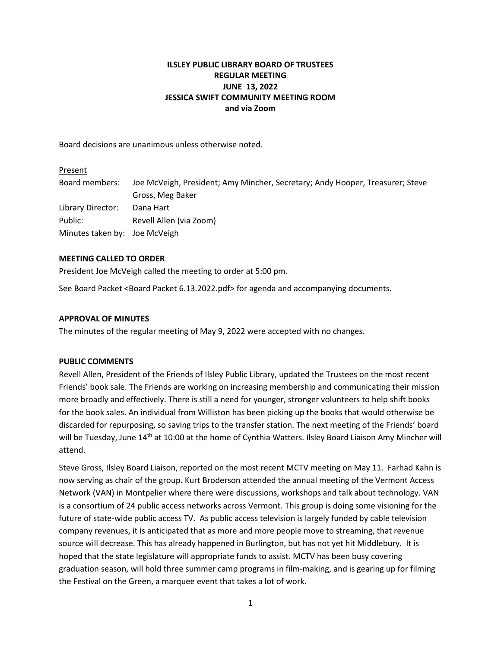# **ILSLEY PUBLIC LIBRARY BOARD OF TRUSTEES REGULAR MEETING JUNE 13, 2022 JESSICA SWIFT COMMUNITY MEETING ROOM and via Zoom**

Board decisions are unanimous unless otherwise noted.

# Present Board members: Joe McVeigh, President; Amy Mincher, Secretary; Andy Hooper, Treasurer; Steve Gross, Meg Baker Library Director: Dana Hart Public: Revell Allen (via Zoom) Minutes taken by: Joe McVeigh

## **MEETING CALLED TO ORDER**

President Joe McVeigh called the meeting to order at 5:00 pm.

See Board Packet <Board Packet 6.13.2022.pdf> for agenda and accompanying documents.

#### **APPROVAL OF MINUTES**

The minutes of the regular meeting of May 9, 2022 were accepted with no changes.

#### **PUBLIC COMMENTS**

Revell Allen, President of the Friends of Ilsley Public Library, updated the Trustees on the most recent Friends' book sale. The Friends are working on increasing membership and communicating their mission more broadly and effectively. There is still a need for younger, stronger volunteers to help shift books for the book sales. An individual from Williston has been picking up the books that would otherwise be discarded for repurposing, so saving trips to the transfer station. The next meeting of the Friends' board will be Tuesday, June 14<sup>th</sup> at 10:00 at the home of Cynthia Watters. Ilsley Board Liaison Amy Mincher will attend.

Steve Gross, Ilsley Board Liaison, reported on the most recent MCTV meeting on May 11. Farhad Kahn is now serving as chair of the group. Kurt Broderson attended the annual meeting of the Vermont Access Network (VAN) in Montpelier where there were discussions, workshops and talk about technology. VAN is a consortium of 24 public access networks across Vermont. This group is doing some visioning for the future of state-wide public access TV. As public access television is largely funded by cable television company revenues, it is anticipated that as more and more people move to streaming, that revenue source will decrease. This has already happened in Burlington, but has not yet hit Middlebury. It is hoped that the state legislature will appropriate funds to assist. MCTV has been busy covering graduation season, will hold three summer camp programs in film-making, and is gearing up for filming the Festival on the Green, a marquee event that takes a lot of work.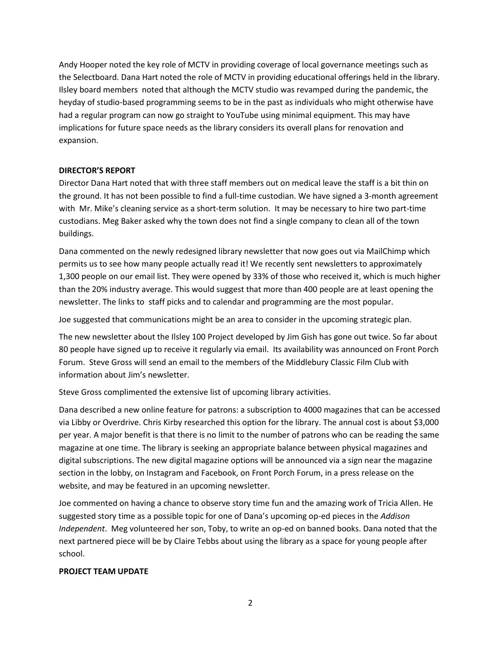Andy Hooper noted the key role of MCTV in providing coverage of local governance meetings such as the Selectboard. Dana Hart noted the role of MCTV in providing educational offerings held in the library. Ilsley board members noted that although the MCTV studio was revamped during the pandemic, the heyday of studio-based programming seems to be in the past as individuals who might otherwise have had a regular program can now go straight to YouTube using minimal equipment. This may have implications for future space needs as the library considers its overall plans for renovation and expansion.

## **DIRECTOR'S REPORT**

Director Dana Hart noted that with three staff members out on medical leave the staff is a bit thin on the ground. It has not been possible to find a full-time custodian. We have signed a 3-month agreement with Mr. Mike's cleaning service as a short-term solution. It may be necessary to hire two part-time custodians. Meg Baker asked why the town does not find a single company to clean all of the town buildings.

Dana commented on the newly redesigned library newsletter that now goes out via MailChimp which permits us to see how many people actually read it! We recently sent newsletters to approximately 1,300 people on our email list. They were opened by 33% of those who received it, which is much higher than the 20% industry average. This would suggest that more than 400 people are at least opening the newsletter. The links to staff picks and to calendar and programming are the most popular.

Joe suggested that communications might be an area to consider in the upcoming strategic plan.

The new newsletter about the Ilsley 100 Project developed by Jim Gish has gone out twice. So far about 80 people have signed up to receive it regularly via email. Its availability was announced on Front Porch Forum. Steve Gross will send an email to the members of the Middlebury Classic Film Club with information about Jim's newsletter.

Steve Gross complimented the extensive list of upcoming library activities.

Dana described a new online feature for patrons: a subscription to 4000 magazines that can be accessed via Libby or Overdrive. Chris Kirby researched this option for the library. The annual cost is about \$3,000 per year. A major benefit is that there is no limit to the number of patrons who can be reading the same magazine at one time. The library is seeking an appropriate balance between physical magazines and digital subscriptions. The new digital magazine options will be announced via a sign near the magazine section in the lobby, on Instagram and Facebook, on Front Porch Forum, in a press release on the website, and may be featured in an upcoming newsletter.

Joe commented on having a chance to observe story time fun and the amazing work of Tricia Allen. He suggested story time as a possible topic for one of Dana's upcoming op-ed pieces in the *Addison Independent*. Meg volunteered her son, Toby, to write an op-ed on banned books. Dana noted that the next partnered piece will be by Claire Tebbs about using the library as a space for young people after school.

## **PROJECT TEAM UPDATE**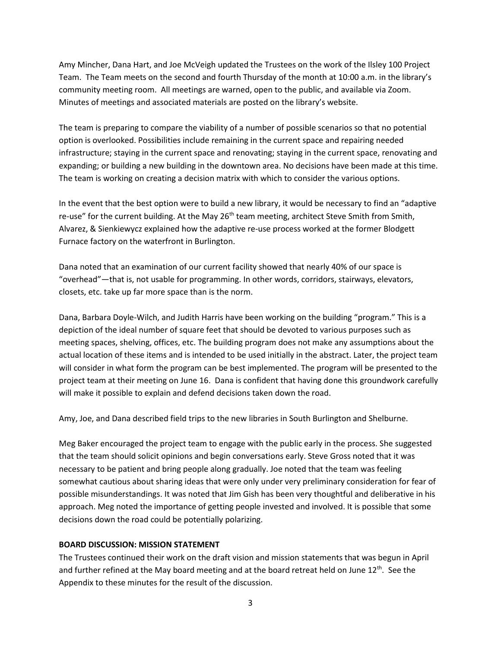Amy Mincher, Dana Hart, and Joe McVeigh updated the Trustees on the work of the Ilsley 100 Project Team. The Team meets on the second and fourth Thursday of the month at 10:00 a.m. in the library's community meeting room. All meetings are warned, open to the public, and available via Zoom. Minutes of meetings and associated materials are posted on the library's website.

The team is preparing to compare the viability of a number of possible scenarios so that no potential option is overlooked. Possibilities include remaining in the current space and repairing needed infrastructure; staying in the current space and renovating; staying in the current space, renovating and expanding; or building a new building in the downtown area. No decisions have been made at this time. The team is working on creating a decision matrix with which to consider the various options.

In the event that the best option were to build a new library, it would be necessary to find an "adaptive re-use" for the current building. At the May 26<sup>th</sup> team meeting, architect Steve Smith from Smith, Alvarez, & Sienkiewycz explained how the adaptive re-use process worked at the former Blodgett Furnace factory on the waterfront in Burlington.

Dana noted that an examination of our current facility showed that nearly 40% of our space is "overhead"—that is, not usable for programming. In other words, corridors, stairways, elevators, closets, etc. take up far more space than is the norm.

Dana, Barbara Doyle-Wilch, and Judith Harris have been working on the building "program." This is a depiction of the ideal number of square feet that should be devoted to various purposes such as meeting spaces, shelving, offices, etc. The building program does not make any assumptions about the actual location of these items and is intended to be used initially in the abstract. Later, the project team will consider in what form the program can be best implemented. The program will be presented to the project team at their meeting on June 16. Dana is confident that having done this groundwork carefully will make it possible to explain and defend decisions taken down the road.

Amy, Joe, and Dana described field trips to the new libraries in South Burlington and Shelburne.

Meg Baker encouraged the project team to engage with the public early in the process. She suggested that the team should solicit opinions and begin conversations early. Steve Gross noted that it was necessary to be patient and bring people along gradually. Joe noted that the team was feeling somewhat cautious about sharing ideas that were only under very preliminary consideration for fear of possible misunderstandings. It was noted that Jim Gish has been very thoughtful and deliberative in his approach. Meg noted the importance of getting people invested and involved. It is possible that some decisions down the road could be potentially polarizing.

#### **BOARD DISCUSSION: MISSION STATEMENT**

The Trustees continued their work on the draft vision and mission statements that was begun in April and further refined at the May board meeting and at the board retreat held on June 12<sup>th</sup>. See the Appendix to these minutes for the result of the discussion.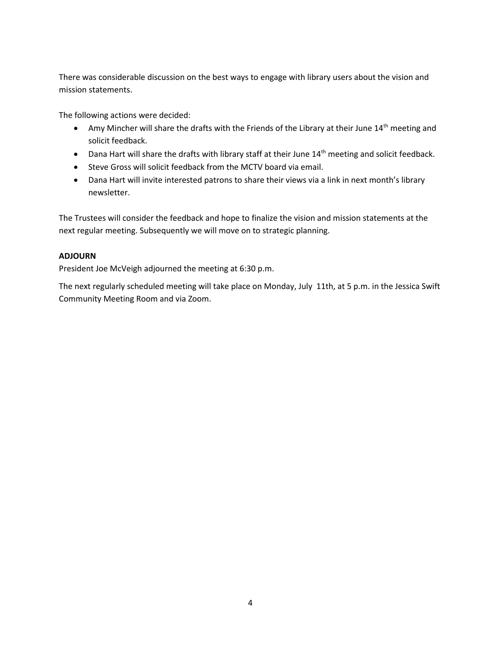There was considerable discussion on the best ways to engage with library users about the vision and mission statements.

The following actions were decided:

- Amy Mincher will share the drafts with the Friends of the Library at their June 14<sup>th</sup> meeting and solicit feedback.
- Dana Hart will share the drafts with library staff at their June 14<sup>th</sup> meeting and solicit feedback.
- Steve Gross will solicit feedback from the MCTV board via email.
- Dana Hart will invite interested patrons to share their views via a link in next month's library newsletter.

The Trustees will consider the feedback and hope to finalize the vision and mission statements at the next regular meeting. Subsequently we will move on to strategic planning.

# **ADJOURN**

President Joe McVeigh adjourned the meeting at 6:30 p.m.

The next regularly scheduled meeting will take place on Monday, July 11th, at 5 p.m. in the Jessica Swift Community Meeting Room and via Zoom.